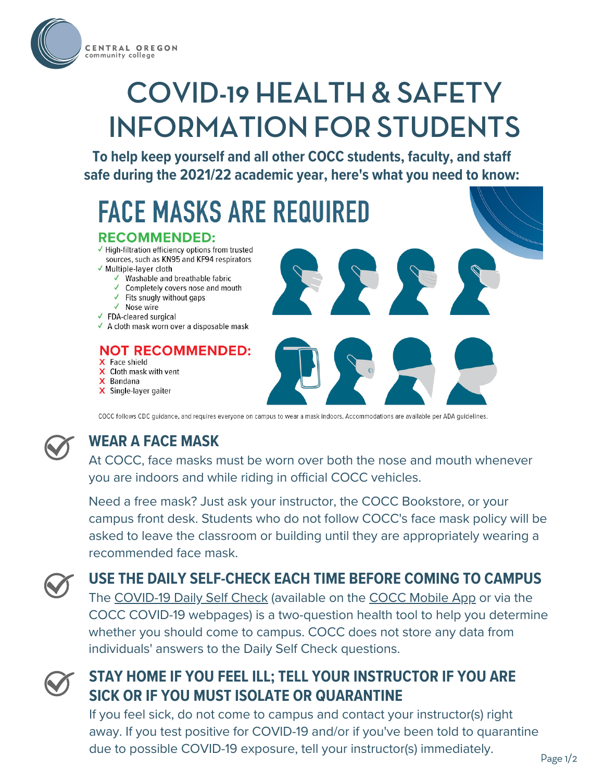

# **COVID-19 HEALTH & SAFETY INFORMATION FOR STUDENTS**

**To help keep yourself and all other COCC students, faculty, and staff safe during the 2021/22 academic year, here's what you need to know:**



COCC follows CDC guidance, and requires everyone on campus to wear a mask indoors. Accommodations are available per ADA guidelines.



# **WEAR A FACE MASK**

At COCC, face masks must be worn over both the nose and mouth whenever you are indoors and while riding in official COCC vehicles.

Need a free mask? Just ask your instructor, the COCC Bookstore, or your campus front desk. Students who do not follow COCC's face mask policy will be asked to leave the classroom or building until they are appropriately wearing a recommended face mask.

#### **USE THE DAILY SELF-CHECK EACH TIME BEFORE COMING TO CAMPUS** The [COVID-19](https://www.cocc.edu/news/covid19-daily-self-check.aspx) Daily Self Check (available on the COCC [Mobile](https://www.cocc.edu/mobile/) App or via the

COCC COVID-19 webpages) is a two-question health tool to help you determine whether you should come to campus. COCC does not store any data from individuals' answers to the Daily Self Check questions.



# **STAY HOME IF YOU FEEL ILL; TELL YOUR INSTRUCTOR IF YOU ARE SICK OR IF YOU MUST ISOLATE OR QUARANTINE**

If you feel sick, do not come to campus and contact your instructor(s) right away. If you test positive for COVID-19 and/or if you've been told to quarantine due to possible COVID-19 exposure, tell your instructor(s) immediately.